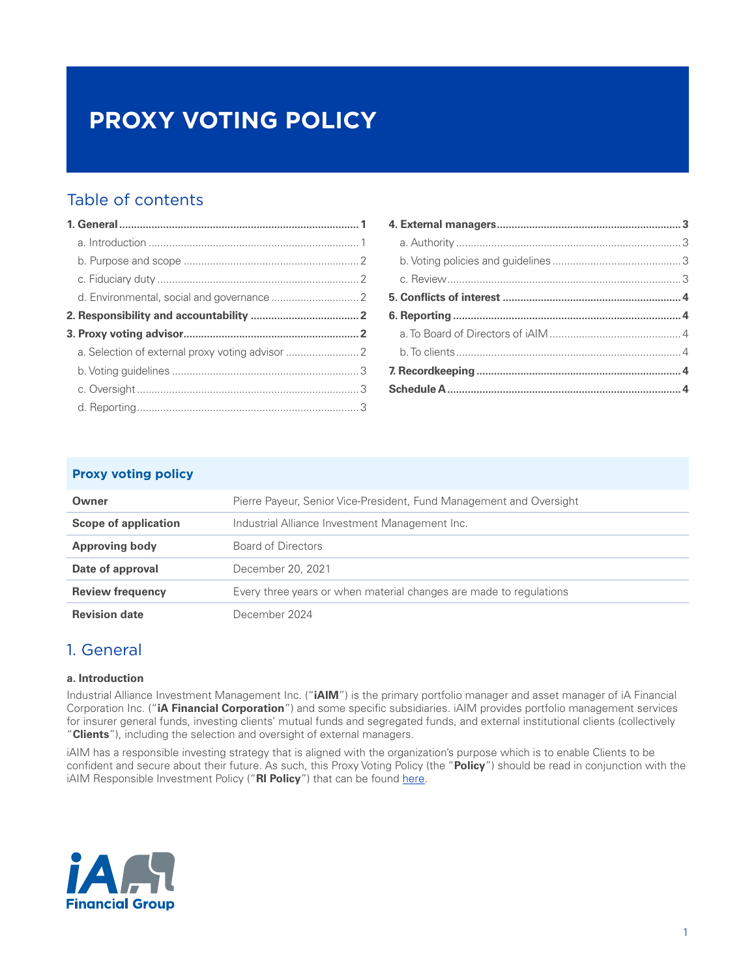# **PROXY VOTING POLICY**

### Table of contents

### **Proxy voting policy**

| Owner                       | Pierre Payeur, Senior Vice-President, Fund Management and Oversight |
|-----------------------------|---------------------------------------------------------------------|
| <b>Scope of application</b> | Industrial Alliance Investment Management Inc.                      |
| <b>Approving body</b>       | Board of Directors                                                  |
| Date of approval            | December 20, 2021                                                   |
| <b>Review frequency</b>     | Every three years or when material changes are made to regulations  |
| <b>Revision date</b>        | December 2024                                                       |

### 1. General

#### **a. Introduction**

Industrial Alliance Investment Management Inc. ("**iAIM**") is the primary portfolio manager and asset manager of iA Financial Corporation Inc. ("**iA Financial Corporation**") and some specific subsidiaries. iAIM provides portfolio management services for insurer general funds, investing clients' mutual funds and segregated funds, and external institutional clients (collectively "**Clients**"), including the selection and oversight of external managers.

iAIM has a responsible investing strategy that is aligned with the organization's purpose which is to enable Clients to be confident and secure about their future. As such, this Proxy Voting Policy (the "**Policy**") should be read in conjunction with the iAIM Responsible Investment Policy ("RI Policy") that can be found [here](https://ia.ca/-/media/files/ia/apropos/dev-durable/update-decembre-2021/ia-investment-management-ri-policy_final_20211220.pdf).

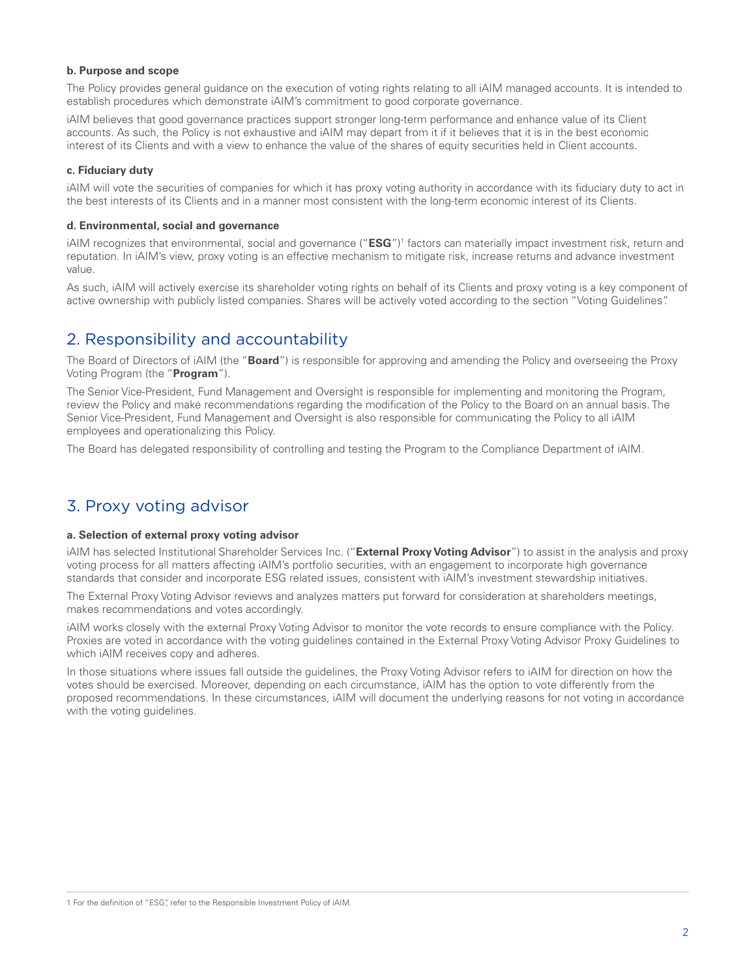#### <span id="page-1-0"></span>**b. Purpose and scope**

The Policy provides general guidance on the execution of voting rights relating to all iAIM managed accounts. It is intended to establish procedures which demonstrate iAIM's commitment to good corporate governance.

iAIM believes that good governance practices support stronger long-term performance and enhance value of its Client accounts. As such, the Policy is not exhaustive and iAIM may depart from it if it believes that it is in the best economic interest of its Clients and with a view to enhance the value of the shares of equity securities held in Client accounts.

#### **c. Fiduciary duty**

iAIM will vote the securities of companies for which it has proxy voting authority in accordance with its fiduciary duty to act in the best interests of its Clients and in a manner most consistent with the long-term economic interest of its Clients.

#### **d. Environmental, social and governance**

iAIM recognizes that environmental, social and governance ("**ESG**")<sup>1</sup> factors can materially impact investment risk, return and reputation. In iAIM's view, proxy voting is an effective mechanism to mitigate risk, increase returns and advance investment value.

As such, iAIM will actively exercise its shareholder voting rights on behalf of its Clients and proxy voting is a key component of active ownership with publicly listed companies. Shares will be actively voted according to the section "Voting Guidelines".

### 2. Responsibility and accountability

The Board of Directors of iAIM (the "**Board**") is responsible for approving and amending the Policy and overseeing the Proxy Voting Program (the "**Program**").

The Senior Vice-President, Fund Management and Oversight is responsible for implementing and monitoring the Program, review the Policy and make recommendations regarding the modification of the Policy to the Board on an annual basis. The Senior Vice-President, Fund Management and Oversight is also responsible for communicating the Policy to all iAIM employees and operationalizing this Policy.

The Board has delegated responsibility of controlling and testing the Program to the Compliance Department of iAIM.

### 3. Proxy voting advisor

#### **a. Selection of external proxy voting advisor**

iAIM has selected Institutional Shareholder Services Inc. ("**External Proxy Voting Advisor**") to assist in the analysis and proxy voting process for all matters affecting iAIM's portfolio securities, with an engagement to incorporate high governance standards that consider and incorporate ESG related issues, consistent with iAIM's investment stewardship initiatives.

The External Proxy Voting Advisor reviews and analyzes matters put forward for consideration at shareholders meetings, makes recommendations and votes accordingly.

iAIM works closely with the external Proxy Voting Advisor to monitor the vote records to ensure compliance with the Policy. Proxies are voted in accordance with the voting guidelines contained in the External Proxy Voting Advisor Proxy Guidelines to which iAIM receives copy and adheres.

In those situations where issues fall outside the guidelines, the Proxy Voting Advisor refers to iAIM for direction on how the votes should be exercised. Moreover, depending on each circumstance, iAIM has the option to vote differently from the proposed recommendations. In these circumstances, iAIM will document the underlying reasons for not voting in accordance with the voting guidelines.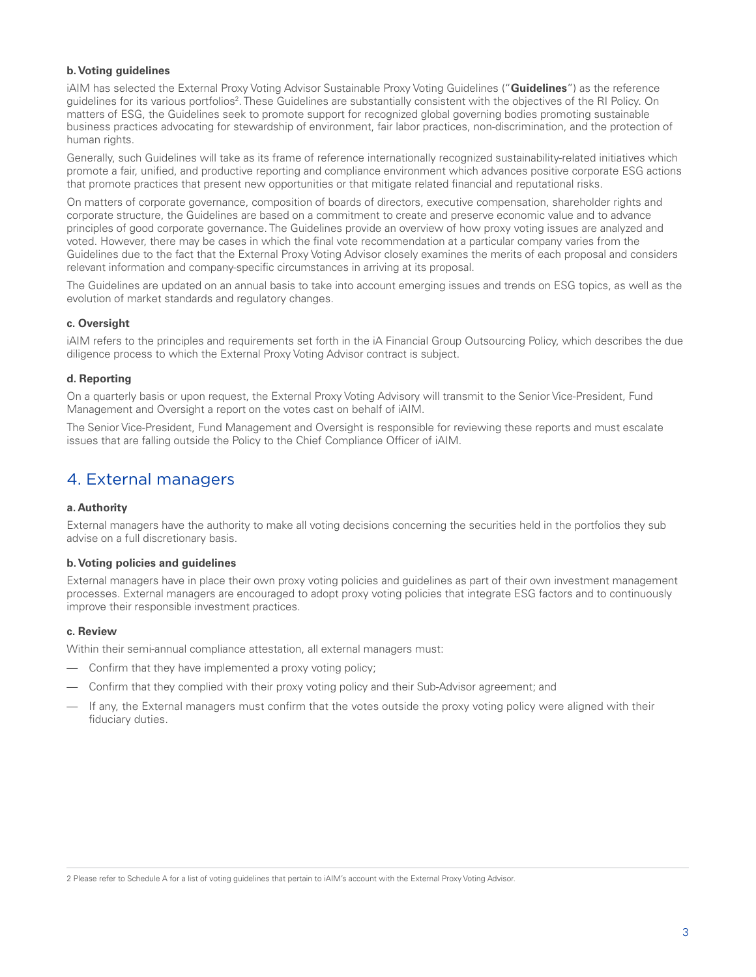#### <span id="page-2-0"></span>**b. Voting guidelines**

iAIM has selected the External Proxy Voting Advisor Sustainable Proxy Voting Guidelines ("**Guidelines**") as the reference guidelines for its various portfolios<sup>2</sup>. These Guidelines are substantially consistent with the objectives of the RI Policy. On matters of ESG, the Guidelines seek to promote support for recognized global governing bodies promoting sustainable business practices advocating for stewardship of environment, fair labor practices, non-discrimination, and the protection of human rights.

Generally, such Guidelines will take as its frame of reference internationally recognized sustainability-related initiatives which promote a fair, unified, and productive reporting and compliance environment which advances positive corporate ESG actions that promote practices that present new opportunities or that mitigate related financial and reputational risks.

On matters of corporate governance, composition of boards of directors, executive compensation, shareholder rights and corporate structure, the Guidelines are based on a commitment to create and preserve economic value and to advance principles of good corporate governance. The Guidelines provide an overview of how proxy voting issues are analyzed and voted. However, there may be cases in which the final vote recommendation at a particular company varies from the Guidelines due to the fact that the External Proxy Voting Advisor closely examines the merits of each proposal and considers relevant information and company-specific circumstances in arriving at its proposal.

The Guidelines are updated on an annual basis to take into account emerging issues and trends on ESG topics, as well as the evolution of market standards and regulatory changes.

#### **c. Oversight**

iAIM refers to the principles and requirements set forth in the iA Financial Group Outsourcing Policy, which describes the due diligence process to which the External Proxy Voting Advisor contract is subject.

#### **d. Reporting**

On a quarterly basis or upon request, the External Proxy Voting Advisory will transmit to the Senior Vice-President, Fund Management and Oversight a report on the votes cast on behalf of iAIM.

The Senior Vice-President, Fund Management and Oversight is responsible for reviewing these reports and must escalate issues that are falling outside the Policy to the Chief Compliance Officer of iAIM.

### 4. External managers

#### **a. Authority**

External managers have the authority to make all voting decisions concerning the securities held in the portfolios they sub advise on a full discretionary basis.

#### **b. Voting policies and guidelines**

External managers have in place their own proxy voting policies and guidelines as part of their own investment management processes. External managers are encouraged to adopt proxy voting policies that integrate ESG factors and to continuously improve their responsible investment practices.

#### **c. Review**

Within their semi-annual compliance attestation, all external managers must:

- Confirm that they have implemented a proxy voting policy;
- Confirm that they complied with their proxy voting policy and their Sub-Advisor agreement; and
- If any, the External managers must confirm that the votes outside the proxy voting policy were aligned with their fiduciary duties.